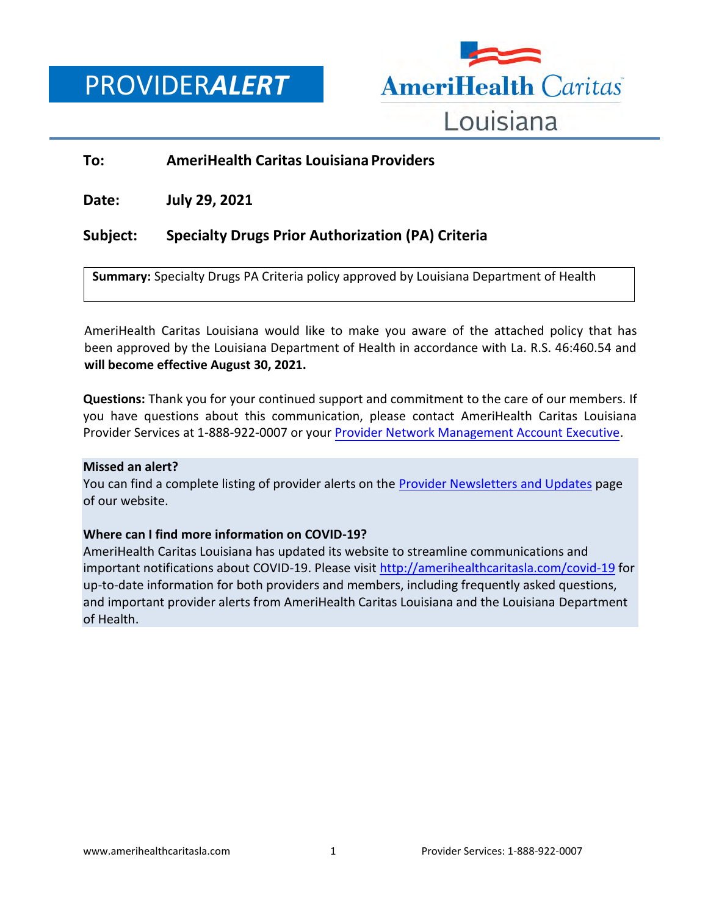PROVIDER*ALERT*



## **To: AmeriHealth Caritas Louisiana Providers**

**Date: July 29, 2021**

## **Subject: Specialty Drugs Prior Authorization (PA) Criteria**

**Summary:** Specialty Drugs PA Criteria policy approved by Louisiana Department of Health

AmeriHealth Caritas Louisiana would like to make you aware of the attached policy that has been approved by the Louisiana Department of Health in accordance with La. R.S. 46:460.54 and **will become effective August 30, 2021.** 

**Questions:** Thank you for your continued support and commitment to the care of our members. If you have questions about this communication, please contact AmeriHealth Caritas Louisiana Provider Services at 1-888-922-0007 or your [Provider Network Management Account Executive.](http://www.amerihealthcaritasla.com/pdf/provider/account-executives.pdf)

## **Missed an alert?**

You can find a complete listing of provider alerts on the [Provider Newsletters and Updates](http://amerihealthcaritasla.com/provider/newsletters-and-updates) page of our website.

## **Where can I find more information on COVID-19?**

AmeriHealth Caritas Louisiana has updated its website to streamline communications and important notifications about COVID-19. Please visit<http://amerihealthcaritasla.com/covid-19> for up-to-date information for both providers and members, including frequently asked questions, and important provider alerts from AmeriHealth Caritas Louisiana and the Louisiana Department of Health.